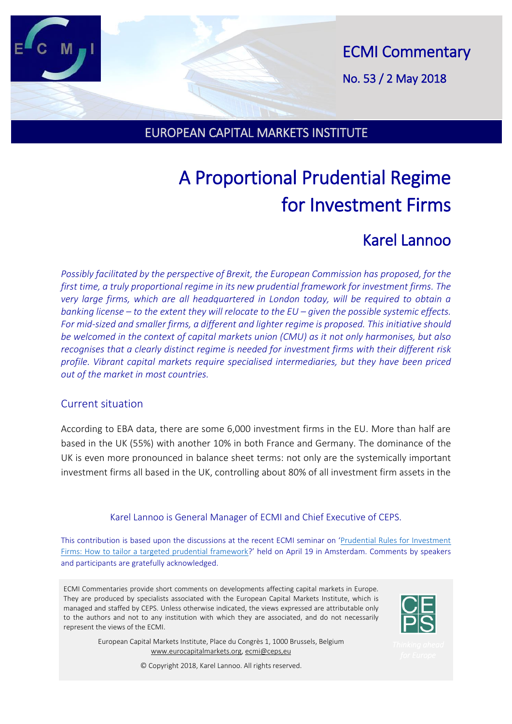ECMI Commentary No. 53 / 2 May 2018

### EUROPEAN CAPITAL MARKETS INSTITUTE

# A Proportional Prudential Regime for Investment Firms

## Karel Lannoo

*Possibly facilitated by the perspective of Brexit, the European Commission has proposed, for the first time, a truly proportional regime in its new prudential framework for investment firms. The very large firms, which are all headquartered in London today, will be required to obtain a banking license – to the extent they will relocate to the EU – given the possible systemic effects. For mid-sized and smaller firms, a different and lighter regime is proposed. This initiative should be welcomed in the context of capital markets union (CMU) as it not only harmonises, but also recognises that a clearly distinct regime is needed for investment firms with their different risk profile. Vibrant capital markets require specialised intermediaries, but they have been priced out of the market in most countries.*

#### Current situation

According to EBA data, there are some 6,000 investment firms in the EU. More than half are based in the UK (55%) with another 10% in both France and Germany. The dominance of the UK is even more pronounced in balance sheet terms: not only are the systemically important investment firms all based in the UK, controlling about 80% of all investment firm assets in the

#### Karel Lannoo is General Manager of ECMI and Chief Executive of CEPS.

This contribution is based upon the discussions at the recent ECMI seminar on '[Prudential Rules for Investment](http://www.eurocapitalmarkets.org/events/half-day-conferences/prudential-rules-investment-firms-how-tailor-targeted-prudential)  [Firms: How to tailor a targeted prudential framework](http://www.eurocapitalmarkets.org/events/half-day-conferences/prudential-rules-investment-firms-how-tailor-targeted-prudential)?' held on April 19 in Amsterdam. Comments by speakers and participants are gratefully acknowledged.

ECMI Commentaries provide short comments on developments affecting capital markets in Europe. They are produced by specialists associated with the European Capital Markets Institute, which is managed and staffed by CEPS. Unless otherwise indicated, the views expressed are attributable only to the authors and not to any institution with which they are associated, and do not necessarily represent the views of the ECMI.

> European Capital Markets Institute, Place du Congrès 1, 1000 Brussels, Belgium [www.eurocapitalmarkets.org,](http://www.eurocapitalmarkets.org/) ecmi@ceps,eu



© Copyright 2018, Karel Lannoo. All rights reserved.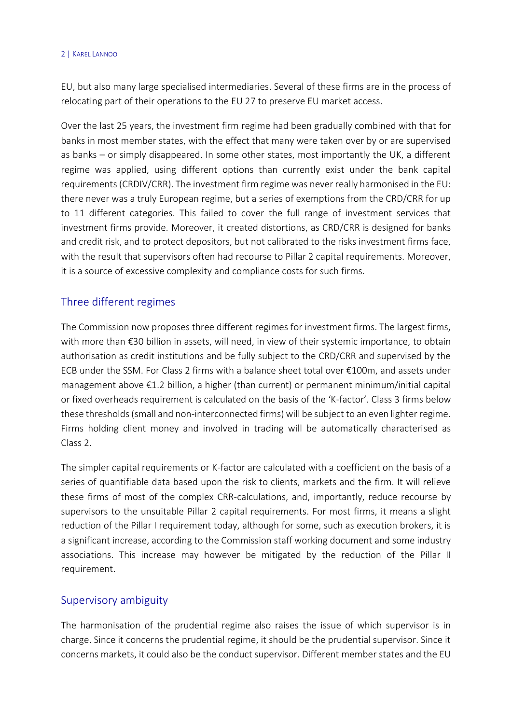#### 2 | KAREL LANNOO

EU, but also many large specialised intermediaries. Several of these firms are in the process of relocating part of their operations to the EU 27 to preserve EU market access.

Over the last 25 years, the investment firm regime had been gradually combined with that for banks in most member states, with the effect that many were taken over by or are supervised as banks – or simply disappeared. In some other states, most importantly the UK, a different regime was applied, using different options than currently exist under the bank capital requirements (CRDIV/CRR). The investment firm regime was never really harmonised in the EU: there never was a truly European regime, but a series of exemptions from the CRD/CRR for up to 11 different categories. This failed to cover the full range of investment services that investment firms provide. Moreover, it created distortions, as CRD/CRR is designed for banks and credit risk, and to protect depositors, but not calibrated to the risks investment firms face, with the result that supervisors often had recourse to Pillar 2 capital requirements. Moreover, it is a source of excessive complexity and compliance costs for such firms.

#### Three different regimes

The Commission now proposes three different regimes for investment firms. The largest firms, with more than €30 billion in assets, will need, in view of their systemic importance, to obtain authorisation as credit institutions and be fully subject to the CRD/CRR and supervised by the ECB under the SSM. For Class 2 firms with a balance sheet total over €100m, and assets under management above €1.2 billion, a higher (than current) or permanent minimum/initial capital or fixed overheads requirement is calculated on the basis of the 'K-factor'. Class 3 firms below these thresholds (small and non-interconnected firms) will be subject to an even lighter regime. Firms holding client money and involved in trading will be automatically characterised as Class 2.

The simpler capital requirements or K-factor are calculated with a coefficient on the basis of a series of quantifiable data based upon the risk to clients, markets and the firm. It will relieve these firms of most of the complex CRR-calculations, and, importantly, reduce recourse by supervisors to the unsuitable Pillar 2 capital requirements. For most firms, it means a slight reduction of the Pillar I requirement today, although for some, such as execution brokers, it is a significant increase, according to the Commission staff working document and some industry associations. This increase may however be mitigated by the reduction of the Pillar II requirement.

#### Supervisory ambiguity

The harmonisation of the prudential regime also raises the issue of which supervisor is in charge. Since it concerns the prudential regime, it should be the prudential supervisor. Since it concerns markets, it could also be the conduct supervisor. Different member states and the EU